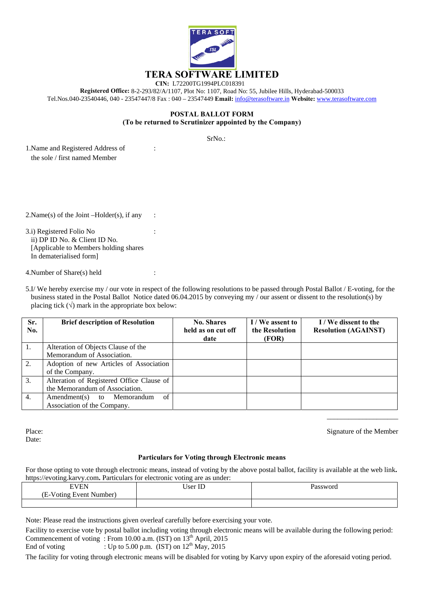

**Registered Office:** 8-2-293/82/A/1107, Plot No: 1107, Road No: 55, Jubilee Hills, Hyderabad-500033 Tel.Nos.040-23540446, 040 - 23547447/8 Fax : 040 – 23547449 **Email:** info@terasoftware.in **Website:** www.terasoftware.com

## **POSTAL BALLOT FORM (To be returned to Scrutinizer appointed by the Company)**

SrNo.:

1. Name and Registered Address of : the sole / first named Member

 $2.Name(s)$  of the Joint  $-Holder(s)$ , if any :

3.i) Registered Folio No : ii) DP ID No. & Client ID No. [Applicable to Members holding shares In dematerialised form]

4.Number of Share(s) held :

5.I/ We hereby exercise my / our vote in respect of the following resolutions to be passed through Postal Ballot / E-voting, for the business stated in the Postal Ballot Notice dated 06.04.2015 by conveying my / our assent or dissent to the resolution(s) by placing tick  $(\sqrt{})$  mark in the appropriate box below:

| Sr.<br>No.       | <b>Brief description of Resolution</b>                                      | <b>No. Shares</b><br>held as on cut off<br>date | I/We assent to<br>the Resolution<br>(FOR) | I / We dissent to the<br><b>Resolution (AGAINST)</b> |
|------------------|-----------------------------------------------------------------------------|-------------------------------------------------|-------------------------------------------|------------------------------------------------------|
| 1.               | Alteration of Objects Clause of the                                         |                                                 |                                           |                                                      |
|                  | Memorandum of Association.                                                  |                                                 |                                           |                                                      |
| 2.               | Adoption of new Articles of Association                                     |                                                 |                                           |                                                      |
|                  | of the Company.                                                             |                                                 |                                           |                                                      |
| 3.               | Alteration of Registered Office Clause of                                   |                                                 |                                           |                                                      |
|                  | the Memorandum of Association.                                              |                                                 |                                           |                                                      |
| $\overline{4}$ . | of<br>$A$ mendment $(s)$<br>Memorandum<br>to<br>Association of the Company. |                                                 |                                           |                                                      |

Place: Date:

Signature of the Member

\_\_\_\_\_\_\_\_\_\_\_\_\_\_\_\_\_\_\_\_

## **Particulars for Voting through Electronic means**

For those opting to vote through electronic means, instead of voting by the above postal ballot, facility is available at the web link**.**  https://evoting.karvy.com**.** Particulars for electronic voting are as under:

| <b>ULLIUM</b><br>-<br>-                                               | $\mathbf{r}$<br>$ -$<br>$ c\alpha r $ | Password |
|-----------------------------------------------------------------------|---------------------------------------|----------|
| (E-V<br>$\sim$<br>Number <sup>1</sup><br>∺vent<br>$-11$<br>OH<br>VIII |                                       |          |
|                                                                       |                                       |          |

Note: Please read the instructions given overleaf carefully before exercising your vote.

Facility to exercise vote by postal ballot including voting through electronic means will be available during the following period: Commencement of voting : From 10.00 a.m. (IST) on 13<sup>th</sup> April, 2015

End of voting : Up to 5.00 p.m. (IST) on  $12^{th}$  May, 2015

The facility for voting through electronic means will be disabled for voting by Karvy upon expiry of the aforesaid voting period.